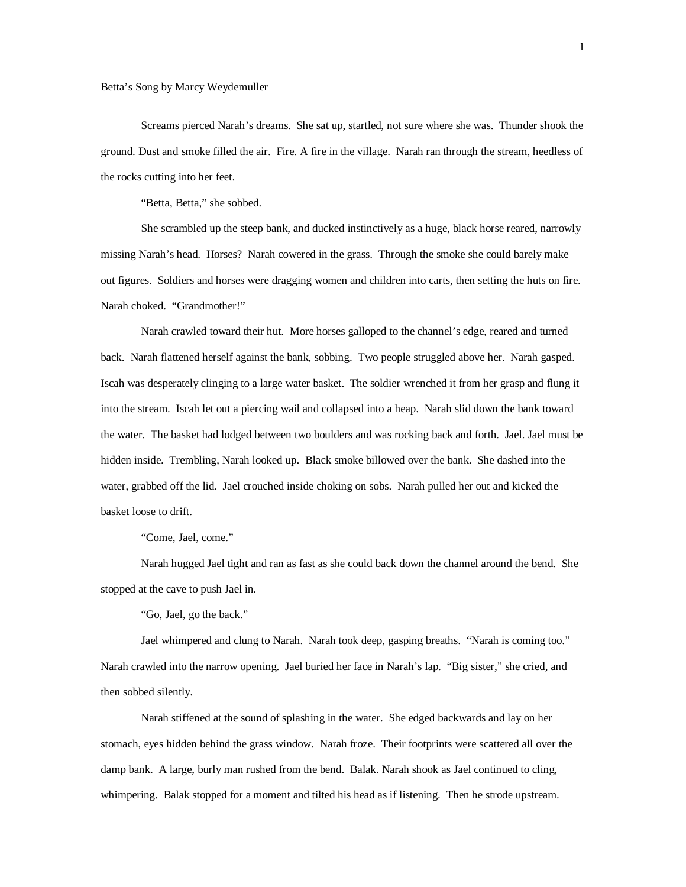## Betta's Song by Marcy Weydemuller

Screams pierced Narah's dreams. She sat up, startled, not sure where she was. Thunder shook the ground. Dust and smoke filled the air. Fire. A fire in the village. Narah ran through the stream, heedless of the rocks cutting into her feet.

"Betta, Betta," she sobbed.

She scrambled up the steep bank, and ducked instinctively as a huge, black horse reared, narrowly missing Narah's head. Horses? Narah cowered in the grass. Through the smoke she could barely make out figures. Soldiers and horses were dragging women and children into carts, then setting the huts on fire. Narah choked. "Grandmother!"

Narah crawled toward their hut. More horses galloped to the channel's edge, reared and turned back. Narah flattened herself against the bank, sobbing. Two people struggled above her. Narah gasped. Iscah was desperately clinging to a large water basket. The soldier wrenched it from her grasp and flung it into the stream. Iscah let out a piercing wail and collapsed into a heap. Narah slid down the bank toward the water. The basket had lodged between two boulders and was rocking back and forth. Jael. Jael must be hidden inside. Trembling, Narah looked up. Black smoke billowed over the bank. She dashed into the water, grabbed off the lid. Jael crouched inside choking on sobs. Narah pulled her out and kicked the basket loose to drift.

"Come, Jael, come."

Narah hugged Jael tight and ran as fast as she could back down the channel around the bend. She stopped at the cave to push Jael in.

"Go, Jael, go the back."

Jael whimpered and clung to Narah. Narah took deep, gasping breaths. "Narah is coming too." Narah crawled into the narrow opening. Jael buried her face in Narah's lap. "Big sister," she cried, and then sobbed silently.

Narah stiffened at the sound of splashing in the water. She edged backwards and lay on her stomach, eyes hidden behind the grass window. Narah froze. Their footprints were scattered all over the damp bank. A large, burly man rushed from the bend. Balak. Narah shook as Jael continued to cling, whimpering. Balak stopped for a moment and tilted his head as if listening. Then he strode upstream.